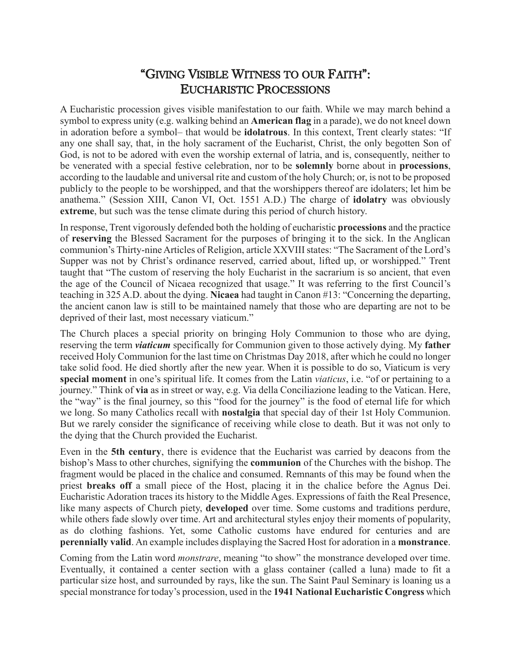## "GIVING VISIBLE WITNESS TO OUR FAITH": EUCHARISTIC PROCESSIONS

A Eucharistic procession gives visible manifestation to our faith. While we may march behind a symbol to express unity (e.g. walking behind an **American flag** in a parade), we do not kneel down in adoration before a symbol– that would be **idolatrous**. In this context, Trent clearly states: "If any one shall say, that, in the holy sacrament of the Eucharist, Christ, the only begotten Son of God, is not to be adored with even the worship external of latria, and is, consequently, neither to be venerated with a special festive celebration, nor to be **solemnly** borne about in **processions**, according to the laudable and universal rite and custom of the holy Church; or, is not to be proposed publicly to the people to be worshipped, and that the worshippers thereof are idolaters; let him be anathema." (Session XIII, Canon VI, Oct. 1551 A.D.) The charge of **idolatry** was obviously **extreme**, but such was the tense climate during this period of church history.

In response, Trent vigorously defended both the holding of eucharistic **processions** and the practice of **reserving** the Blessed Sacrament for the purposes of bringing it to the sick. In the Anglican communion's Thirty-nine Articles of Religion, article XXVIII states: "The Sacrament of the Lord's Supper was not by Christ's ordinance reserved, carried about, lifted up, or worshipped." Trent taught that "The custom of reserving the holy Eucharist in the sacrarium is so ancient, that even the age of the Council of Nicaea recognized that usage." It was referring to the first Council's teaching in 325 A.D. about the dying. **Nicaea** had taught in Canon #13: "Concerning the departing, the ancient canon law is still to be maintained namely that those who are departing are not to be deprived of their last, most necessary viaticum."

The Church places a special priority on bringing Holy Communion to those who are dying, reserving the term *viaticum* specifically for Communion given to those actively dying. My **father** received Holy Communion for the last time on Christmas Day 2018, after which he could no longer take solid food. He died shortly after the new year. When it is possible to do so, Viaticum is very **special moment** in one's spiritual life. It comes from the Latin *viaticus*, i.e. "of or pertaining to a journey." Think of **via** as in street or way, e.g. Via della Conciliazione leading to the Vatican. Here, the "way" is the final journey, so this "food for the journey" is the food of eternal life for which we long. So many Catholics recall with **nostalgia** that special day of their 1st Holy Communion. But we rarely consider the significance of receiving while close to death. But it was not only to the dying that the Church provided the Eucharist.

Even in the **5th century**, there is evidence that the Eucharist was carried by deacons from the bishop's Mass to other churches, signifying the **communion** of the Churches with the bishop. The fragment would be placed in the chalice and consumed. Remnants of this may be found when the priest **breaks off** a small piece of the Host, placing it in the chalice before the Agnus Dei. Eucharistic Adoration traces its history to the Middle Ages. Expressions of faith the Real Presence, like many aspects of Church piety, **developed** over time. Some customs and traditions perdure, while others fade slowly over time. Art and architectural styles enjoy their moments of popularity, as do clothing fashions. Yet, some Catholic customs have endured for centuries and are **perennially valid**. An example includes displaying the Sacred Host for adoration in a **monstrance**.

Coming from the Latin word *monstrare*, meaning "to show" the monstrance developed over time. Eventually, it contained a center section with a glass container (called a luna) made to fit a particular size host, and surrounded by rays, like the sun. The Saint Paul Seminary is loaning us a special monstrance for today's procession, used in the **1941 National Eucharistic Congress** which